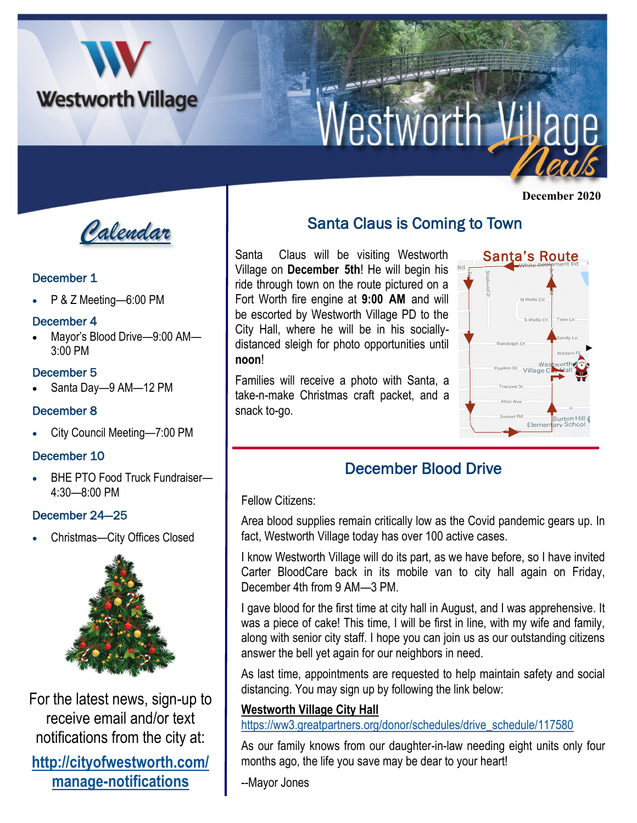

# **Nestworth Village**

*Calendar*

## December 1

P & Z Meeting-6:00 PM

#### December 4

• Mayor's Blood Drive—9:00 AM— 3:00 PM

#### December 5

• Santa Day—9 AM—12 PM

## December 8

• City Council Meeting—7:00 PM

#### December 10

• BHE PTO Food Truck Fundraiser— 4:30—8:00 PM

## December 24—25

• Christmas—City Offices Closed



For the latest news, sign-up to receive email and/or text notifications from the city at:

## **[http://cityofwestworth.com/](http://cityofwestworth.com/manage-notifications) [manage-notifications](http://cityofwestworth.com/manage-notifications)**

## Santa Claus is Coming to Town

Santa Claus will be visiting Westworth Village on **December 5th**! He will begin his ride through town on the route pictured on a Fort Worth fire engine at **9:00 AM** and will be escorted by Westworth Village PD to the City Hall, where he will be in his sociallydistanced sleigh for photo opportunities until **noon**!

Families will receive a photo with Santa, a take-n-make Christmas craft packet, and a snack to-go.



## December Blood Drive

Fellow Citizens:

Area blood supplies remain critically low as the Covid pandemic gears up. In fact, Westworth Village today has over 100 active cases.

I know Westworth Village will do its part, as we have before, so I have invited Carter BloodCare back in its mobile van to city hall again on Friday, December 4th from 9 AM—3 PM.

I gave blood for the first time at city hall in August, and I was apprehensive. It was a piece of cake! This time, I will be first in line, with my wife and family, along with senior city staff. I hope you can join us as our outstanding citizens answer the bell yet again for our neighbors in need.

As last time, appointments are requested to help maintain safety and social distancing. You may sign up by following the link below:

## **[Westworth Village City Hall](https://link.caltech.com/u/f21131a3/gKadZ1Ao6xGUUdwxh3soMg?u=https%3A%2F%2Fww3.greatpartners.org%2Fdonor%2Fschedules%2Fdrive_schedule%2F117580)**

[https://ww3.greatpartners.org/donor/schedules/drive\\_schedule/117580](https://ww3.greatpartners.org/donor/schedules/drive_schedule/117580)

As our family knows from our daughter-in-law needing eight units only four months ago, the life you save may be dear to your heart!

--Mayor Jones

 **December 2020**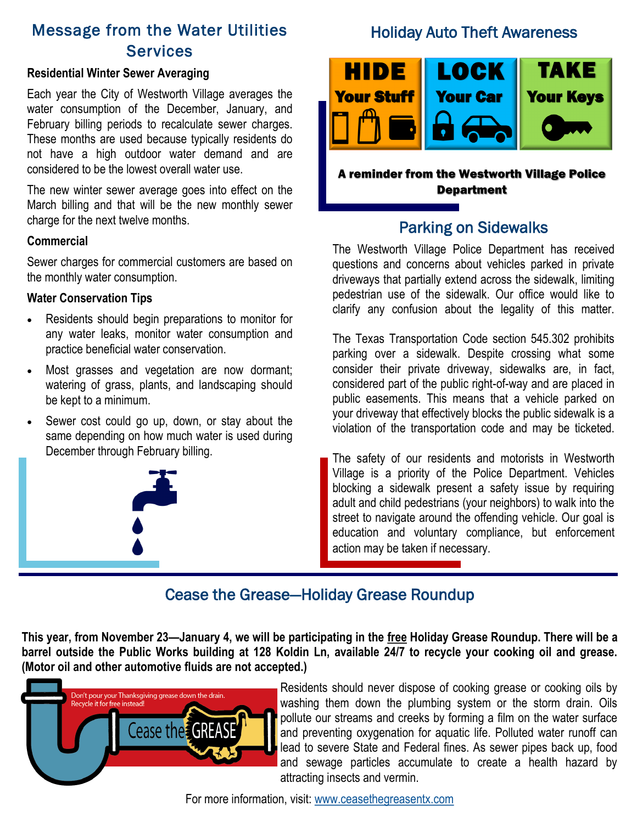## Message from the Water Utilities **Services**

#### **Residential Winter Sewer Averaging**

Each year the City of Westworth Village averages the water consumption of the December, January, and February billing periods to recalculate sewer charges. These months are used because typically residents do not have a high outdoor water demand and are considered to be the lowest overall water use.

The new winter sewer average goes into effect on the March billing and that will be the new monthly sewer charge for the next twelve months.

#### **Commercial**

Sewer charges for commercial customers are based on the monthly water consumption.

#### **Water Conservation Tips**

- Residents should begin preparations to monitor for any water leaks, monitor water consumption and practice beneficial water conservation.
- Most grasses and vegetation are now dormant; watering of grass, plants, and landscaping should be kept to a minimum.
- Sewer cost could go up, down, or stay about the same depending on how much water is used during December through February billing.



## Holiday Auto Theft Awareness



A reminder from the Westworth Village Police **Department** 

## Parking on Sidewalks

The Westworth Village Police Department has received questions and concerns about vehicles parked in private driveways that partially extend across the sidewalk, limiting pedestrian use of the sidewalk. Our office would like to clarify any confusion about the legality of this matter.

The Texas Transportation Code section 545.302 prohibits parking over a sidewalk. Despite crossing what some consider their private driveway, sidewalks are, in fact, considered part of the public right-of-way and are placed in public easements. This means that a vehicle parked on your driveway that effectively blocks the public sidewalk is a violation of the transportation code and may be ticketed.

The safety of our residents and motorists in Westworth Village is a priority of the Police Department. Vehicles blocking a sidewalk present a safety issue by requiring adult and child pedestrians (your neighbors) to walk into the street to navigate around the offending vehicle. Our goal is education and voluntary compliance, but enforcement action may be taken if necessary.

## Cease the Grease—Holiday Grease Roundup

**This year, from November 23—January 4, we will be participating in the free Holiday Grease Roundup. There will be a barrel outside the Public Works building at 128 Koldin Ln, available 24/7 to recycle your cooking oil and grease. (Motor oil and other automotive fluids are not accepted.)**



Residents should never dispose of cooking grease or cooking oils by washing them down the plumbing system or the storm drain. Oils pollute our streams and creeks by forming a film on the water surface and preventing oxygenation for aquatic life. Polluted water runoff can lead to severe State and Federal fines. As sewer pipes back up, food and sewage particles accumulate to create a health hazard by attracting insects and vermin.

For more information, visit: [www.ceasethegreasentx.com](http://www.ceasethegreasentx.com/)